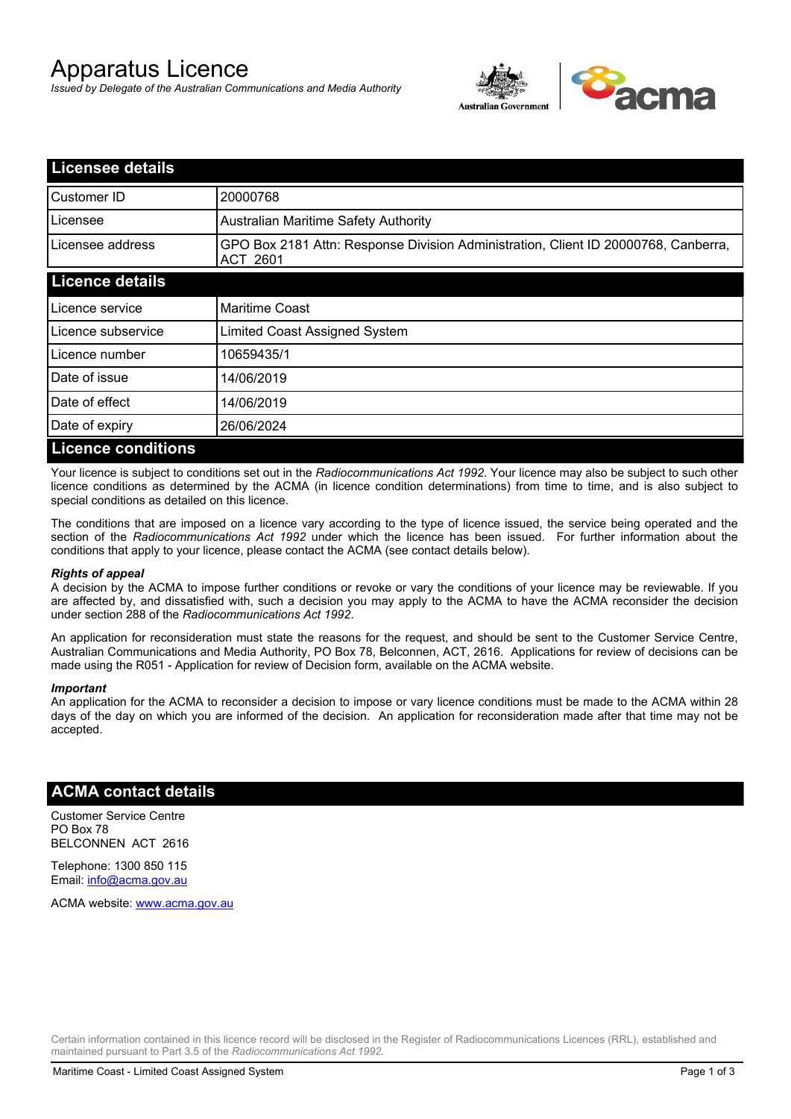# Apparatus Licence

*Issued by Delegate of the Australian Communications and Media Authority*



| <b>Licensee details</b>   |                                                                                                |
|---------------------------|------------------------------------------------------------------------------------------------|
| Customer ID               | 20000768                                                                                       |
| Licensee                  | <b>Australian Maritime Safety Authority</b>                                                    |
| Licensee address          | GPO Box 2181 Attn: Response Division Administration, Client ID 20000768, Canberra,<br>ACT 2601 |
| <b>Licence details</b>    |                                                                                                |
| Licence service           | <b>Maritime Coast</b>                                                                          |
| Licence subservice        | Limited Coast Assigned System                                                                  |
| Licence number            | 10659435/1                                                                                     |
| Date of issue             | 14/06/2019                                                                                     |
| Date of effect            | 14/06/2019                                                                                     |
| Date of expiry            | 26/06/2024                                                                                     |
| <b>Licence conditions</b> |                                                                                                |

Your licence is subject to conditions set out in the *Radiocommunications Act 1992*. Your licence may also be subject to such other licence conditions as determined by the ACMA (in licence condition determinations) from time to time, and is also subject to special conditions as detailed on this licence.

The conditions that are imposed on a licence vary according to the type of licence issued, the service being operated and the section of the *Radiocommunications Act 1992* under which the licence has been issued. For further information about the conditions that apply to your licence, please contact the ACMA (see contact details below).

### *Rights of appeal*

A decision by the ACMA to impose further conditions or revoke or vary the conditions of your licence may be reviewable. If you are affected by, and dissatisfied with, such a decision you may apply to the ACMA to have the ACMA reconsider the decision under section 288 of the *Radiocommunications Act 1992*.

An application for reconsideration must state the reasons for the request, and should be sent to the Customer Service Centre, Australian Communications and Media Authority, PO Box 78, Belconnen, ACT, 2616. Applications for review of decisions can be made using the R051 - Application for review of Decision form, available on the ACMA website.

#### *Important*

An application for the ACMA to reconsider a decision to impose or vary licence conditions must be made to the ACMA within 28 days of the day on which you are informed of the decision. An application for reconsideration made after that time may not be accepted.

### **ACMA contact details**

Customer Service Centre PO Box 78 BELCONNEN ACT 2616

Telephone: 1300 850 115 Email: info@acma.gov.au

ACMA website: www.acma.gov.au

Certain information contained in this licence record will be disclosed in the Register of Radiocommunications Licences (RRL), established and maintained pursuant to Part 3.5 of the *Radiocommunications Act 1992.*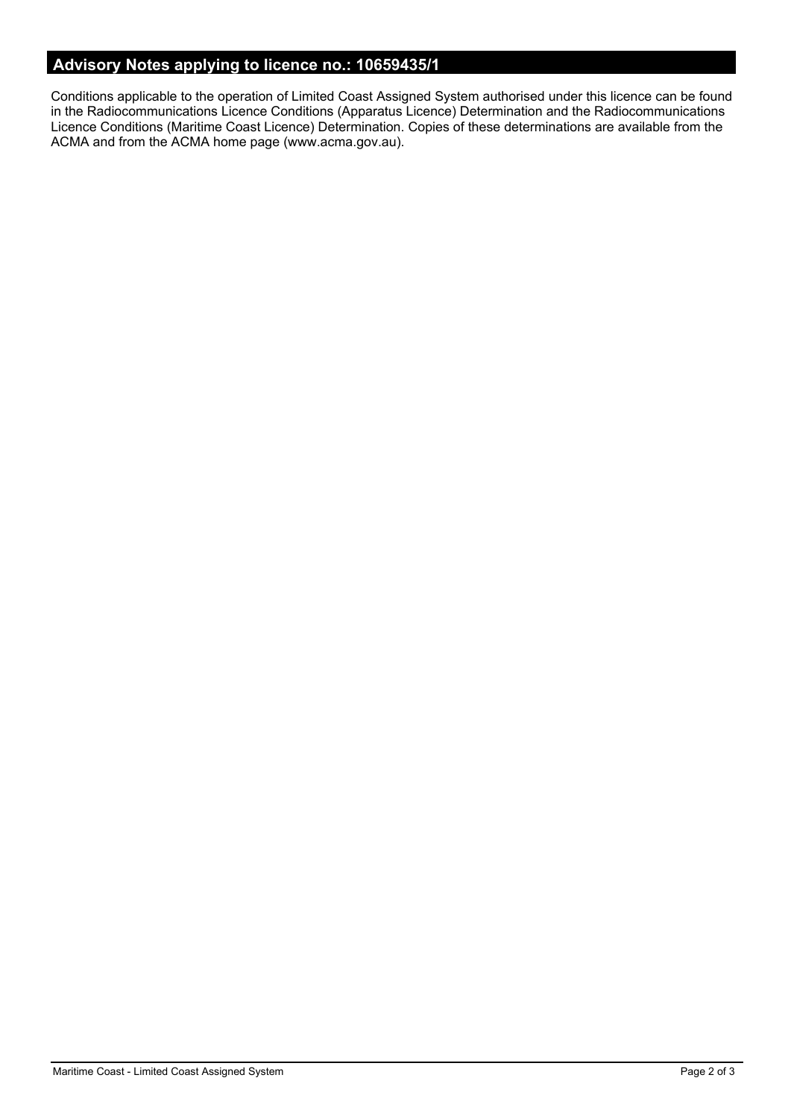# **Advisory Notes applying to licence no.: 10659435/1**

Conditions applicable to the operation of Limited Coast Assigned System authorised under this licence can be found in the Radiocommunications Licence Conditions (Apparatus Licence) Determination and the Radiocommunications Licence Conditions (Maritime Coast Licence) Determination. Copies of these determinations are available from the ACMA and from the ACMA home page (www.acma.gov.au).